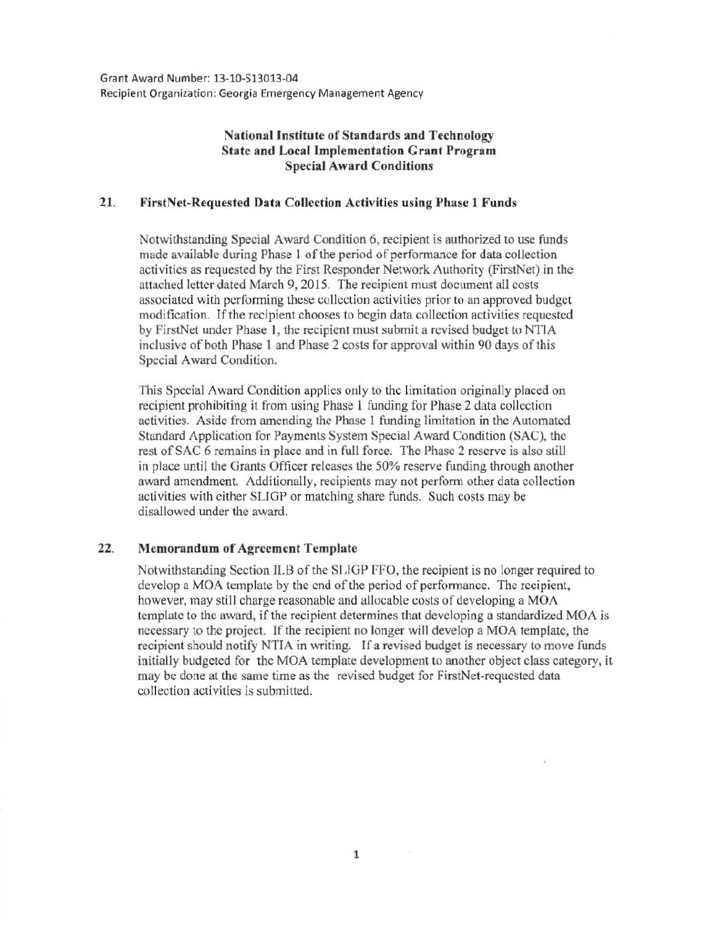Grant Award Number: 13-10-513013-04 Recipient Organization: Georgia Emergency Management Agency

## **National Institute of Standards and Technology State and Local Implementation Grant Program Special Award Conditions**

## **21. FirstNet-Requested Data Collection Activities using Phase 1 Funds**

Notwithstanding Special Award Condition 6, recipient is authorized to use funds made available during Phase 1 of the period of performance for data collection activities as requested by the First Responder Network Authority (FirstNet) in the attached letter dated March 9, 2015. The recipient must document all costs associated with performing these collection activities prior to an approved budget modification. If the recipient chooses to begin data collection activities requested by FirstNet under Phase I, the recipient must submit a revised budget to NTJA inclusive of both Phase **1** and Phase 2 costs for approval within 90 days of this Special Award Condition.

This Special Award Condition applies only to the limitation originally placed on recipient prohibiting it from using Phase 1 funding for Phase 2 data collection activities. Aside from amending the Phase 1 funding limitation in the Automated Standard Application for Payments System Special Award Condition (SAC), the rest of SAC 6 remains in place and in full force. The Phase 2 reserve is also still in place until the Grants Officer releases the 50% reserve funding through another award amendment. Additionally, recipients may not perform other data collection activities with either SLIGP or matching share funds. Such costs may be disallowed under the award.

## **22. Memorandum of Agreement Template**

Notwithstanding Section II.B of the SLIGP FFO, the recipient is no longer required to develop a MOA template by the end of the period of performance. The recipient, however, may still charge reasonable and allocable costs of developing a MOA template to the award, if the recipient determines that developing a standardized MOA is necessary to the project. If the recipient no longer will develop a MOA template, the recipient should notify NTIA in writing. If a revised budget is necessary to move funds initially budgeted for the MOA template development to another object class category, it may be done at the same time as the revised budget for FirstNet-requested data collection activities is submitted.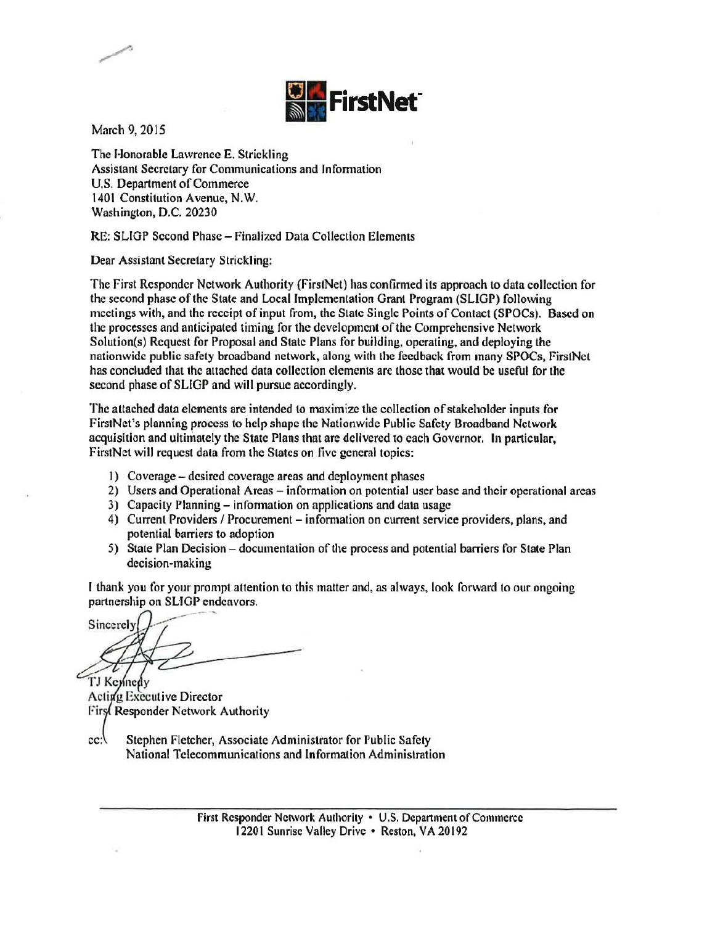

March 9, 2015

The Honorable Lawrence E. Strickling Assistant Secretary for Communications and lnfonnation U.S. Department of Commerce 1401 Constitution Avenue, N.W. Washington, D.C. 20230

RE: SLIGP Second Phase- Finalized Data Collection Elements

Dear Assistant Secretary Strickling:

The First Responder Network Authority (FirstNet) has confirmed its approach to data collection for the second phase of the State and Local Implementation Grant Program (SLIGP) following meetings with, and the receipt of input from, the State Single Points of Contact (SPOCs). Based on the processes and anticipated timing for the development of the Comprehensive Network Solution(s) Request for Proposal and State Plans for building, operating, and deploying the nationwide public safety broadband network, along with the feedback from many SPOCs, FirstNet has concluded that the attached data collection elements are those that would be useful for the second phase of SLIGP and will pursue accordingly.

The attached data elements are intended to maximize the collection of stakeholder inputs for FirstNet's planning process to help shape the Nationwide Public Safety Broadband Network acquisition and ultimately the State Plans that are delivered to each Governor. In particular, FirstNet will request data from the States on five general topics:

- 1) Coverage desired coverage areas and deployment phases
- 2) Users and Operational Areas information on potential user base and their operational areas
- 3) Capacity Planning- information on applications and data usage
- 4) Current Providers / Procurement information on current service providers, plans, and potential barriers to adoption
- 5) State Plan Decision documentation of the process and potential barriers for State Plan decision-making

I thank you for your prompt attention to this matter and, as always, look forward to our ongoing partnership on SLIGP endeavors.

Sincerely

TJ Kennedy Acting Executive Director First Responder Network Authority

cc: Stephen Fletcher, Associate Administrator for Public Safety National Telecommunications and Information Administration